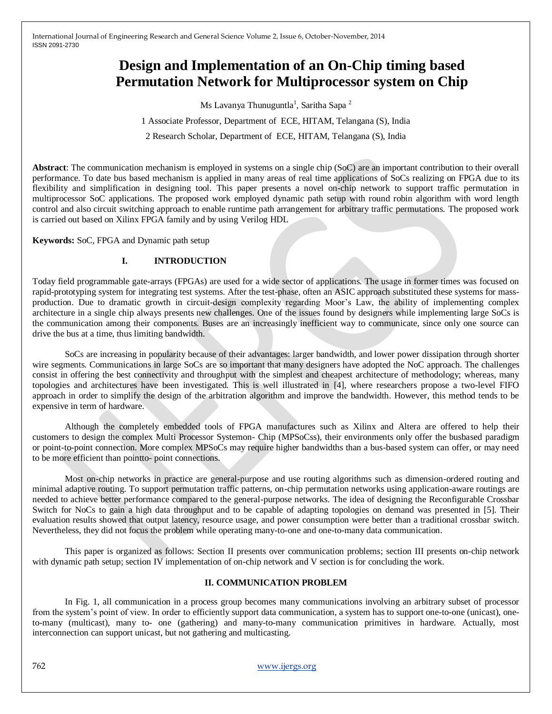# **Design and Implementation of an On-Chip timing based Permutation Network for Multiprocessor system on Chip**

Ms Lavanya Thunuguntla<sup>1</sup>, Saritha Sapa<sup>2</sup>

1 Associate Professor, Department of ECE, HITAM, Telangana (S), India

2 Research Scholar, Department of ECE, HITAM, Telangana (S), India

**Abstract**: The communication mechanism is employed in systems on a single chip (SoC) are an important contribution to their overall performance. To date bus based mechanism is applied in many areas of real time applications of SoCs realizing on FPGA due to its flexibility and simplification in designing tool. This paper presents a novel on-chip network to support traffic permutation in multiprocessor SoC applications. The proposed work employed dynamic path setup with round robin algorithm with word length control and also circuit switching approach to enable runtime path arrangement for arbitrary traffic permutations. The proposed work is carried out based on Xilinx FPGA family and by using Verilog HDL

**Keywords:** SoC, FPGA and Dynamic path setup

# **I. INTRODUCTION**

Today field programmable gate-arrays (FPGAs) are used for a wide sector of applications. The usage in former times was focused on rapid-prototyping system for integrating test systems. After the test-phase, often an ASIC approach substituted these systems for massproduction. Due to dramatic growth in circuit-design complexity regarding Moor's Law, the ability of implementing complex architecture in a single chip always presents new challenges. One of the issues found by designers while implementing large SoCs is the communication among their components. Buses are an increasingly inefficient way to communicate, since only one source can drive the bus at a time, thus limiting bandwidth.

SoCs are increasing in popularity because of their advantages: larger bandwidth, and lower power dissipation through shorter wire segments. Communications in large SoCs are so important that many designers have adopted the NoC approach. The challenges consist in offering the best connectivity and throughput with the simplest and cheapest architecture of methodology; whereas, many topologies and architectures have been investigated. This is well illustrated in [4], where researchers propose a two-level FIFO approach in order to simplify the design of the arbitration algorithm and improve the bandwidth. However, this method tends to be expensive in term of hardware.

Although the completely embedded tools of FPGA manufactures such as Xilinx and Altera are offered to help their customers to design the complex Multi Processor Systemon- Chip (MPSoCss), their environments only offer the busbased paradigm or point-to-point connection. More complex MPSoCs may require higher bandwidths than a bus-based system can offer, or may need to be more efficient than pointto- point connections.

Most on-chip networks in practice are general-purpose and use routing algorithms such as dimension-ordered routing and minimal adaptive routing. To support permutation traffic patterns, on-chip permutation networks using application-aware routings are needed to achieve better performance compared to the general-purpose networks. The idea of designing the Reconfigurable Crossbar Switch for NoCs to gain a high data throughput and to be capable of adapting topologies on demand was presented in [5]. Their evaluation results showed that output latency, resource usage, and power consumption were better than a traditional crossbar switch. Nevertheless, they did not focus the problem while operating many-to-one and one-to-many data communication.

This paper is organized as follows: Section II presents over communication problems; section III presents on-chip network with dynamic path setup; section IV implementation of on-chip network and V section is for concluding the work.

# **II. COMMUNICATION PROBLEM**

In Fig. 1, all communication in a process group becomes many communications involving an arbitrary subset of processor from the system's point of view. In order to efficiently support data communication, a system has to support one-to-one (unicast), oneto-many (multicast), many to- one (gathering) and many-to-many communication primitives in hardware. Actually, most interconnection can support unicast, but not gathering and multicasting.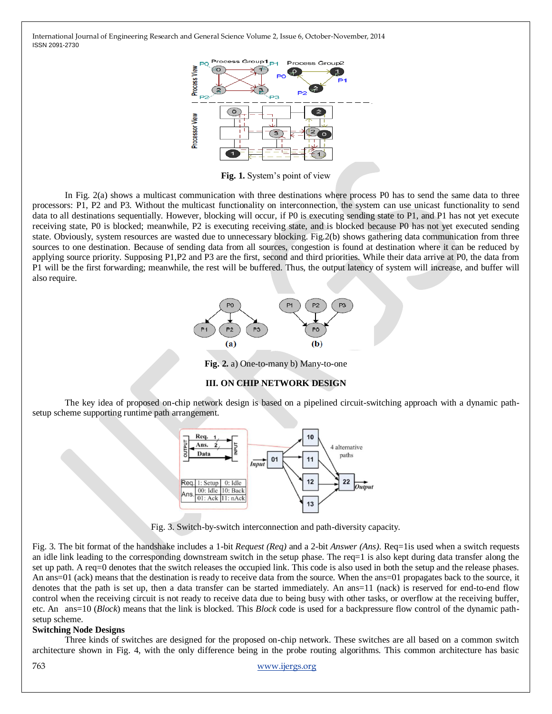

**Fig. 1.** System's point of view

In Fig. 2(a) shows a multicast communication with three destinations where process P0 has to send the same data to three processors: P1, P2 and P3. Without the multicast functionality on interconnection, the system can use unicast functionality to send data to all destinations sequentially. However, blocking will occur, if P0 is executing sending state to P1, and P1 has not yet execute receiving state, P0 is blocked; meanwhile, P2 is executing receiving state, and is blocked because P0 has not yet executed sending state. Obviously, system resources are wasted due to unnecessary blocking. Fig.2(b) shows gathering data communication from three sources to one destination. Because of sending data from all sources, congestion is found at destination where it can be reduced by applying source priority. Supposing P1,P2 and P3 are the first, second and third priorities. While their data arrive at P0, the data from P1 will be the first forwarding; meanwhile, the rest will be buffered. Thus, the output latency of system will increase, and buffer will also require.



**Fig. 2.** a) One-to-many b) Many-to-one

### **III. ON CHIP NETWORK DESIGN**

The key idea of proposed on-chip network design is based on a pipelined circuit-switching approach with a dynamic pathsetup scheme supporting runtime path arrangement.



Fig. 3. Switch-by-switch interconnection and path-diversity capacity.

Fig. 3. The bit format of the handshake includes a 1-bit *Request (Req)* and a 2-bit *Answer (Ans)*. Req=1is used when a switch requests an idle link leading to the corresponding downstream switch in the setup phase. The req=1 is also kept during data transfer along the set up path. A req=0 denotes that the switch releases the occupied link. This code is also used in both the setup and the release phases. An ans=01 (ack) means that the destination is ready to receive data from the source. When the ans=01 propagates back to the source, it denotes that the path is set up, then a data transfer can be started immediately. An ans=11 (nack) is reserved for end-to-end flow control when the receiving circuit is not ready to receive data due to being busy with other tasks, or overflow at the receiving buffer, etc. An ans=10 (*Block*) means that the link is blocked. This *Block* code is used for a backpressure flow control of the dynamic pathsetup scheme.

### **Switching Node Designs**

 Three kinds of switches are designed for the proposed on-chip network. These switches are all based on a common switch architecture shown in Fig. 4, with the only difference being in the probe routing algorithms. This common architecture has basic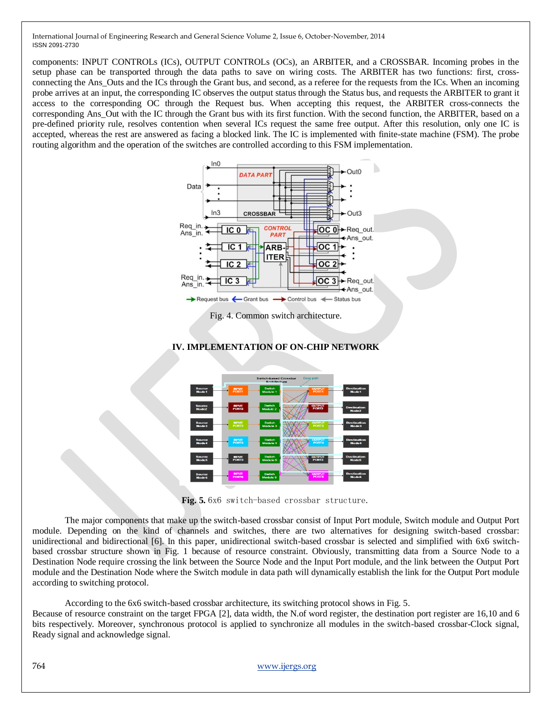components: INPUT CONTROLs (ICs), OUTPUT CONTROLs (OCs), an ARBITER, and a CROSSBAR. Incoming probes in the setup phase can be transported through the data paths to save on wiring costs. The ARBITER has two functions: first, crossconnecting the Ans\_Outs and the ICs through the Grant bus, and second, as a referee for the requests from the ICs. When an incoming probe arrives at an input, the corresponding IC observes the output status through the Status bus, and requests the ARBITER to grant it access to the corresponding OC through the Request bus. When accepting this request, the ARBITER cross-connects the corresponding Ans\_Out with the IC through the Grant bus with its first function. With the second function, the ARBITER, based on a pre-defined priority rule, resolves contention when several ICs request the same free output. After this resolution, only one IC is accepted, whereas the rest are answered as facing a blocked link. The IC is implemented with finite-state machine (FSM). The probe routing algorithm and the operation of the switches are controlled according to this FSM implementation.



Fig. 4. Common switch architecture.

# **IV. IMPLEMENTATION OF ON-CHIP NETWORK**



**Fig. 5.** 6x6 switch-based crossbar structure.

The major components that make up the switch-based crossbar consist of Input Port module, Switch module and Output Port module. Depending on the kind of channels and switches, there are two alternatives for designing switch-based crossbar: unidirectional and bidirectional [6]. In this paper, unidirectional switch-based crossbar is selected and simplified with 6x6 switchbased crossbar structure shown in Fig. 1 because of resource constraint. Obviously, transmitting data from a Source Node to a Destination Node require crossing the link between the Source Node and the Input Port module, and the link between the Output Port module and the Destination Node where the Switch module in data path will dynamically establish the link for the Output Port module according to switching protocol.

According to the 6x6 switch-based crossbar architecture, its switching protocol shows in Fig. 5. Because of resource constraint on the target FPGA [2], data width, the N.of word register, the destination port register are 16,10 and 6 bits respectively. Moreover, synchronous protocol is applied to synchronize all modules in the switch-based crossbar-Clock signal, Ready signal and acknowledge signal.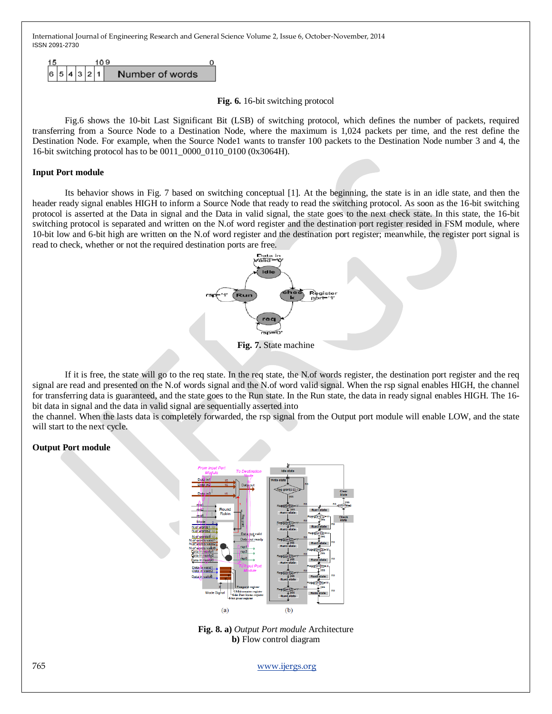| 15 |             |  | 109 |                 |  |
|----|-------------|--|-----|-----------------|--|
|    | 6 5 4 3 2 1 |  |     | Number of words |  |

**Fig. 6.** 16-bit switching protocol

Fig.6 shows the 10-bit Last Significant Bit (LSB) of switching protocol, which defines the number of packets, required transferring from a Source Node to a Destination Node, where the maximum is 1,024 packets per time, and the rest define the Destination Node. For example, when the Source Node1 wants to transfer 100 packets to the Destination Node number 3 and 4, the 16-bit switching protocol has to be 0011\_0000\_0110\_0100 (0x3064H).

## **Input Port module**

Its behavior shows in Fig. 7 based on switching conceptual [1]. At the beginning, the state is in an idle state, and then the header ready signal enables HIGH to inform a Source Node that ready to read the switching protocol. As soon as the 16-bit switching protocol is asserted at the Data in signal and the Data in valid signal, the state goes to the next check state. In this state, the 16-bit switching protocol is separated and written on the N.of word register and the destination port register resided in FSM module, where 10-bit low and 6-bit high are written on the N.of word register and the destination port register; meanwhile, the register port signal is read to check, whether or not the required destination ports are free.



If it is free, the state will go to the req state. In the req state, the N.of words register, the destination port register and the req signal are read and presented on the N.of words signal and the N.of word valid signal. When the rsp signal enables HIGH, the channel for transferring data is guaranteed, and the state goes to the Run state. In the Run state, the data in ready signal enables HIGH. The 16 bit data in signal and the data in valid signal are sequentially asserted into

the channel. When the lasts data is completely forwarded, the rsp signal from the Output port module will enable LOW, and the state will start to the next cycle.

# **Output Port module**



**Fig. 8. a)** *Output Port module* Architecture **b)** Flow control diagram

765 www.ijergs.org